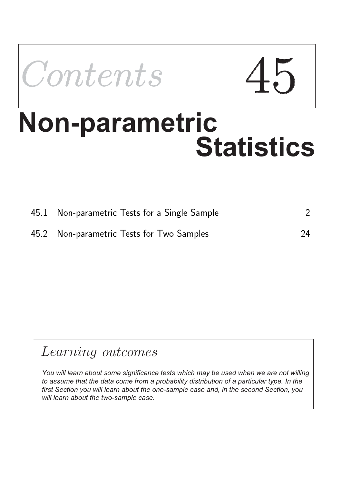

# **Non-parametric<br>Statistics**

| 45.1 Non-parametric Tests for a Single Sample |    |
|-----------------------------------------------|----|
| 45.2 Non-parametric Tests for Two Samples     | 24 |

# Learning outcomes

*You will learn about some significance tests which may be used when we are not willing to assume that the data come from a probability distribution of a particular type. In the first Section you will learn about the one-sample case and, in the second Section, you will learn about the two-sample case.*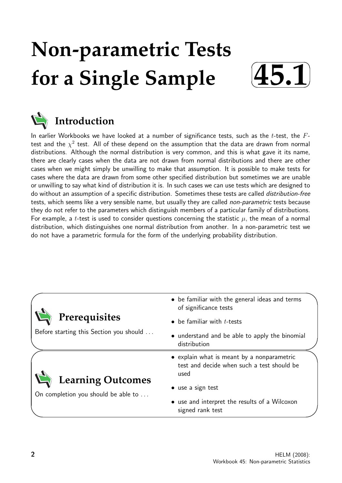# **Non-parametric Tests for a Single Sample**





# **Introduction**

In earlier Workbooks we have looked at a number of significance tests, such as the t-test, the  $F$ test and the  $\chi^2$  test. All of these depend on the assumption that the data are drawn from normal distributions. Although the normal distribution is very common, and this is what gave it its name, there are clearly cases when the data are not drawn from normal distributions and there are other cases when we might simply be unwilling to make that assumption. It is possible to make tests for cases where the data are drawn from some other specified distribution but sometimes we are unable or unwilling to say what kind of distribution it is. In such cases we can use tests which are designed to do without an assumption of a specific distribution. Sometimes these tests are called distribution-free tests, which seems like a very sensible name, but usually they are called non-parametric tests because they do not refer to the parameters which distinguish members of a particular family of distributions. For example, a t-test is used to consider questions concerning the statistic  $\mu$ , the mean of a normal distribution, which distinguishes one normal distribution from another. In a non-parametric test we do not have a parametric formula for the form of the underlying probability distribution.

|                                                          | • be familiar with the general ideas and terms<br>of significance tests                          |  |
|----------------------------------------------------------|--------------------------------------------------------------------------------------------------|--|
| Prerequisites<br>Before starting this Section you should | $\bullet$ be familiar with <i>t</i> -tests                                                       |  |
|                                                          | • understand and be able to apply the binomial<br>distribution                                   |  |
| <b>Learning Outcomes</b>                                 | • explain what is meant by a nonparametric<br>test and decide when such a test should be<br>used |  |
| On completion you should be able to                      | • use a sign test                                                                                |  |
|                                                          | • use and interpret the results of a Wilcoxon<br>signed rank test                                |  |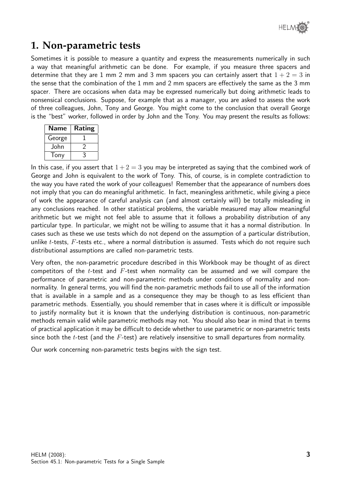

# **1. Non-parametric tests**

Sometimes it is possible to measure a quantity and express the measurements numerically in such a way that meaningful arithmetic can be done. For example, if you measure three spacers and determine that they are 1 mm 2 mm and 3 mm spacers you can certainly assert that  $1 + 2 = 3$  in the sense that the combination of the 1 mm and 2 mm spacers are effectively the same as the 3 mm spacer. There are occasions when data may be expressed numerically but doing arithmetic leads to nonsensical conclusions. Suppose, for example that as a manager, you are asked to assess the work of three colleagues, John, Tony and George. You might come to the conclusion that overall George is the "best" worker, followed in order by John and the Tony. You may present the results as follows:

| Name   | Rating |
|--------|--------|
| George |        |
| John   |        |
| Tony   |        |

In this case, if you assert that  $1+2=3$  you may be interpreted as saying that the combined work of George and John is equivalent to the work of Tony. This, of course, is in complete contradiction to the way you have rated the work of your colleagues! Remember that the appearance of numbers does not imply that you can do meaningful arithmetic. In fact, meaningless arithmetic, while giving a piece of work the appearance of careful analysis can (and almost certainly will) be totally misleading in any conclusions reached. In other statistical problems, the variable measured may allow meaningful arithmetic but we might not feel able to assume that it follows a probability distribution of any particular type. In particular, we might not be willing to assume that it has a normal distribution. In cases such as these we use tests which do not depend on the assumption of a particular distribution, unlike  $t$ -tests,  $F$ -tests etc., where a normal distribution is assumed. Tests which do not require such distributional assumptions are called non-parametric tests.

Very often, the non-parametric procedure described in this Workbook may be thought of as direct competitors of the t-test and  $F$ -test when normality can be assumed and we will compare the performance of parametric and non-parametric methods under conditions of normality and nonnormality. In general terms, you will find the non-parametric methods fail to use all of the information that is available in a sample and as a consequence they may be though to as less efficient than parametric methods. Essentially, you should remember that in cases where it is difficult or impossible to justify normality but it is known that the underlying distribution is continuous, non-parametric methods remain valid while parametric methods may not. You should also bear in mind that in terms of practical application it may be difficult to decide whether to use parametric or non-parametric tests since both the  $t$ -test (and the  $F$ -test) are relatively insensitive to small departures from normality.

Our work concerning non-parametric tests begins with the sign test.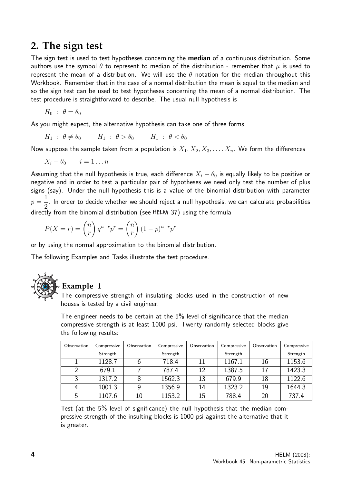# **2. The sign test**

The sign test is used to test hypotheses concerning the **median** of a continuous distribution. Some authors use the symbol  $\theta$  to represent to median of the distribution - remember that  $\mu$  is used to represent the mean of a distribution. We will use the  $\theta$  notation for the median throughout this Workbook. Remember that in the case of a normal distribution the mean is equal to the median and so the sign test can be used to test hypotheses concerning the mean of a normal distribution. The test procedure is straightforward to describe. The usual null hypothesis is

$$
H_0 : \theta = \theta_0
$$

As you might expect, the alternative hypothesis can take one of three forms

$$
H_1 : \theta \neq \theta_0 \qquad H_1 : \theta > \theta_0 \qquad H_1 : \theta < \theta_0
$$

Now suppose the sample taken from a population is  $X_1, X_2, X_3, \ldots, X_n$ . We form the differences

$$
X_i - \theta_0 \qquad i = 1 \dots n
$$

Assuming that the null hypothesis is true, each difference  $X_i - \theta_0$  is equally likely to be positive or negative and in order to test a particular pair of hypotheses we need only test the number of plus signs (say). Under the null hypothesis this is a value of the binomial distribution with parameter  $p =$ 1 2 . In order to decide whether we should reject a null hypothesis, we can calculate probabilities directly from the binomial distribution (see HELM 37) using the formula

$$
P(X=r) = {n \choose r} q^{n-r} p^r = {n \choose r} (1-p)^{n-r} p^r
$$

or by using the normal approximation to the binomial distribution.

The following Examples and Tasks illustrate the test procedure.



### **Example 1**

The compressive strength of insulating blocks used in the construction of new houses is tested by a civil engineer.

The engineer needs to be certain at the 5% level of significance that the median compressive strength is at least 1000 psi. Twenty randomly selected blocks give the following results:

| Observation | Compressive | Observation | Compressive | Observation | Compressive | Observation | Compressive |
|-------------|-------------|-------------|-------------|-------------|-------------|-------------|-------------|
|             | Strength    |             | Strength    |             | Strength    |             | Strength    |
|             | 1128.7      |             | 718.4       | 11          | 1167.1      | 16          | 1153.6      |
| 2           | 679.1       |             | 787.4       | 12          | 1387.5      | 17          | 1423.3      |
| 3           | 1317.2      | 8           | 1562.3      | 13          | 679.9       | 18          | 1122.6      |
| 4           | 1001.3      |             | 1356.9      | 14          | 1323.2      | 19          | 1644.3      |
| 5           | 1107.6      | 10          | 1153.2      | 15          | 788.4       | 20          | 737.4       |

Test (at the 5% level of significance) the null hypothesis that the median compressive strength of the insulting blocks is 1000 psi against the alternative that it is greater.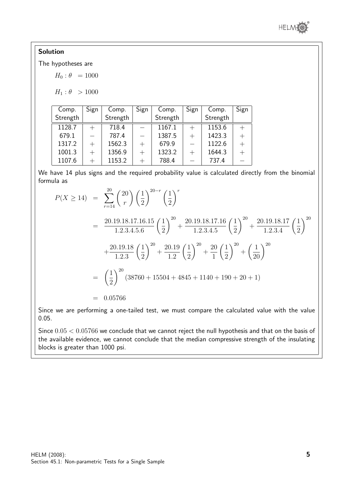

#### Solution

The hypotheses are

 $H_0$ :  $\theta = 1000$ 

 $H_1$ :  $\theta > 1000$ 

| Comp.    | Sign | Comp.    | Sign | Comp.    | Sign | Comp.    | Sign   |
|----------|------|----------|------|----------|------|----------|--------|
| Strength |      | Strength |      | Strength |      | Strength |        |
| 1128.7   |      | 718.4    |      | 1167.1   |      | 1153.6   |        |
| 679.1    |      | 787.4    |      | 1387.5   |      | 1423.3   |        |
| 1317.2   | $+$  | 1562.3   |      | 679.9    |      | 1122.6   |        |
| 1001.3   | $+$  | 1356.9   | $^+$ | 1323.2   |      | 1644.3   | $^{+}$ |
| 1107.6   |      | 1153.2   |      | 788.4    |      | 737.4    |        |

We have 14 plus signs and the required probability value is calculated directly from the binomial formula as

$$
P(X \ge 14) = \sum_{r=14}^{20} {20 \choose r} \left(\frac{1}{2}\right)^{20-r} \left(\frac{1}{2}\right)^r
$$
  
= 
$$
\frac{20.19.18.17.16.15}{1.2.3.4.5.6} \left(\frac{1}{2}\right)^{20} + \frac{20.19.18.17.16}{1.2.3.4.5} \left(\frac{1}{2}\right)^{20} + \frac{20.19.18.17}{1.2.3.4} \left(\frac{1}{2}\right)^{20}
$$
  
+ 
$$
\frac{20.19.18}{1.2.3} \left(\frac{1}{2}\right)^{20} + \frac{20.19}{1.2} \left(\frac{1}{2}\right)^{20} + \frac{20}{1} \left(\frac{1}{2}\right)^{20} + \left(\frac{1}{20}\right)^{20}
$$
  
= 
$$
\left(\frac{1}{2}\right)^{20} (38760 + 15504 + 4845 + 1140 + 190 + 20 + 1)
$$
  
= 0.05766

Since we are performing a one-tailed test, we must compare the calculated value with the value 0.05.

Since  $0.05 < 0.05766$  we conclude that we cannot reject the null hypothesis and that on the basis of the available evidence, we cannot conclude that the median compressive strength of the insulating blocks is greater than 1000 psi.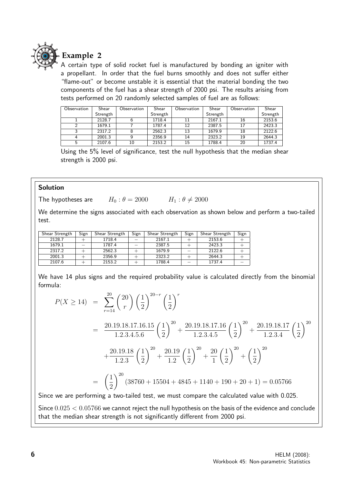

#### **Example 2**

A certain type of solid rocket fuel is manufactured by bonding an igniter with a propellant. In order that the fuel burns smoothly and does not suffer either "flame-out" or become unstable it is essential that the material bonding the two components of the fuel has a shear strength of 2000 psi. The results arising from tests performed on 20 randomly selected samples of fuel are as follows:

| Observation | Shear    | Observation | Shear    | Observation | Shear    | Observation | Shear    |
|-------------|----------|-------------|----------|-------------|----------|-------------|----------|
|             | Strength |             | Strength |             | Strength |             | Strength |
|             | 2128.7   |             | 1718.4   | 11          | 2167.1   | 16          | 2153.6   |
|             | 1679.1   |             | 1787.4   | 12          | 2387.5   | 17          | 2423.3   |
|             | 2317.2   |             | 2562.3   | 13          | 1679.9   | 18          | 2122.6   |
|             | 2001.3   |             | 2356.9   | 14          | 2323.2   | 19          | 2644.3   |
|             | 2107.6   | 10          | 2153.2   | 15          | 1788.4   | 20          | 1737.4   |

Using the 5% level of significance, test the null hypothesis that the median shear strength is 2000 psi.

#### Solution

The hypotheses are  $H_0$ :  $\theta = 2000$   $H_1$ :  $\theta \neq 2000$ 

We determine the signs associated with each observation as shown below and perform a two-tailed test.

| Shear Strength | Sign | Shear Strength | Sign | Shear Strength | Sign | Shear Strength | Sign |
|----------------|------|----------------|------|----------------|------|----------------|------|
| 2128.7         |      | 1718.4         |      | 2167.1         |      | 2153.6         |      |
| 1679.1         |      | 1787.4         |      | 2387.5         |      | 2423.3         |      |
| 2317.2         |      | 2562.3         |      | 1679.9         |      | 2122.6         |      |
| 2001.3         |      | 2356.9         |      | 2323.2         |      | 2644.3         |      |
| 2107.6         |      | 2153.2         |      | 1788.4         |      | 1737.4         |      |

We have 14 plus signs and the required probability value is calculated directly from the binomial formula:

$$
P(X \ge 14) = \sum_{r=14}^{20} {20 \choose r} \left(\frac{1}{2}\right)^{20-r} \left(\frac{1}{2}\right)^r
$$
  
= 
$$
\frac{20.19.18.17.16.15}{1.2.3.4.5.6} \left(\frac{1}{2}\right)^{20} + \frac{20.19.18.17.16}{1.2.3.4.5} \left(\frac{1}{2}\right)^{20} + \frac{20.19.18.17}{1.2.3.4} \left(\frac{1}{2}\right)^{20}
$$
  
+ 
$$
\frac{20.19.18}{1.2.3} \left(\frac{1}{2}\right)^{20} + \frac{20.19}{1.2} \left(\frac{1}{2}\right)^{20} + \frac{20}{1} \left(\frac{1}{2}\right)^{20} + \left(\frac{1}{2}\right)^{20}
$$
  
= 
$$
\left(\frac{1}{2}\right)^{20} (38760 + 15504 + 4845 + 1140 + 190 + 20 + 1) = 0.05766
$$

Since we are performing a two-tailed test, we must compare the calculated value with 0.025.

Since  $0.025 < 0.05766$  we cannot reject the null hypothesis on the basis of the evidence and conclude that the median shear strength is not significantly different from 2000 psi.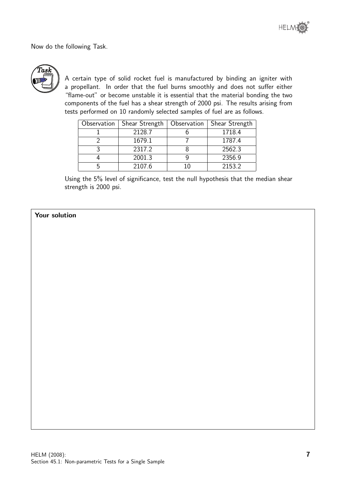Now do the following Task.



A certain type of solid rocket fuel is manufactured by binding an igniter with a propellant. In order that the fuel burns smoothly and does not suffer either "flame-out" or become unstable it is essential that the material bonding the two components of the fuel has a shear strength of 2000 psi. The results arising from tests performed on 10 randomly selected samples of fuel are as follows.

| Observation | Shear Strength | Observation | Shear Strength |
|-------------|----------------|-------------|----------------|
|             | 2128.7         |             | 1718.4         |
|             | 1679.1         |             | 1787.4         |
|             | 2317.2         |             | 2562.3         |
|             | 2001.3         |             | 2356.9         |
|             | 2107.6         |             | 2153.2         |

Using the 5% level of significance, test the null hypothesis that the median shear strength is 2000 psi.

#### Your solution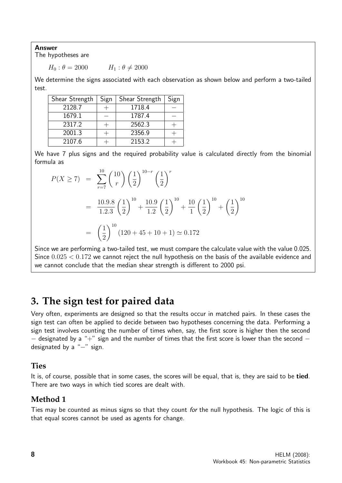Answer

The hypotheses are

 $H_0 : \theta = 2000$   $H_1 : \theta \neq 2000$ 

We determine the signs associated with each observation as shown below and perform a two-tailed test.

| Shear Strength | Sign | Shear Strength | Sign |
|----------------|------|----------------|------|
| 2128.7         |      | 1718.4         |      |
| 1679.1         |      | 1787.4         |      |
| 2317.2         |      | 2562.3         |      |
| 2001.3         |      | 2356.9         |      |
| 2107.6         |      | 2153.2         |      |

We have 7 plus signs and the required probability value is calculated directly from the binomial formula as

$$
P(X \ge 7) = \sum_{r=7}^{10} {10 \choose r} \left(\frac{1}{2}\right)^{10-r} \left(\frac{1}{2}\right)^r
$$
  
= 
$$
\frac{10.9.8}{1.2.3} \left(\frac{1}{2}\right)^{10} + \frac{10.9}{1.2} \left(\frac{1}{2}\right)^{10} + \frac{10}{1} \left(\frac{1}{2}\right)^{10} + \left(\frac{1}{2}\right)^{10}
$$
  
= 
$$
\left(\frac{1}{2}\right)^{10} (120 + 45 + 10 + 1) \approx 0.172
$$

Since we are performing a two-tailed test, we must compare the calculate value with the value 0.025. Since  $0.025 < 0.172$  we cannot reject the null hypothesis on the basis of the available evidence and we cannot conclude that the median shear strength is different to 2000 psi.

# **3. The sign test for paired data**

Very often, experiments are designed so that the results occur in matched pairs. In these cases the sign test can often be applied to decide between two hypotheses concerning the data. Performing a sign test involves counting the number of times when, say, the first score is higher then the second  $-$  designated by a "+" sign and the number of times that the first score is lower than the second  $$ designated by a "-" sign.

#### **Ties**

It is, of course, possible that in some cases, the scores will be equal, that is, they are said to be tied. There are two ways in which tied scores are dealt with.

#### **Method 1**

Ties may be counted as minus signs so that they count for the null hypothesis. The logic of this is that equal scores cannot be used as agents for change.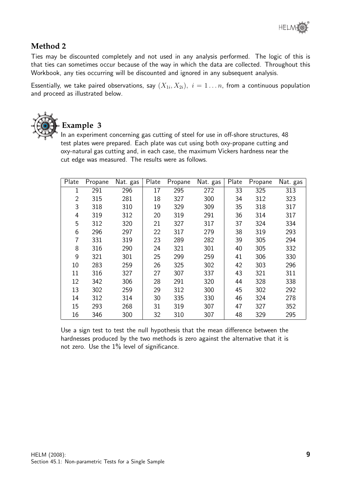#### **Method 2**

Ties may be discounted completely and not used in any analysis performed. The logic of this is that ties can sometimes occur because of the way in which the data are collected. Throughout this Workbook, any ties occurring will be discounted and ignored in any subsequent analysis.

Essentially, we take paired observations, say  $(X_{1i}, X_{2i}), i = 1 \ldots n$ , from a continuous population and proceed as illustrated below.



# **Example 3**

In an experiment concerning gas cutting of steel for use in off-shore structures, 48 test plates were prepared. Each plate was cut using both oxy-propane cutting and oxy-natural gas cutting and, in each case, the maximum Vickers hardness near the cut edge was measured. The results were as follows.

| Plate          | Propane | Nat. gas | Plate | Propane | Nat. gas | Plate | Propane | Nat. gas |
|----------------|---------|----------|-------|---------|----------|-------|---------|----------|
| 1              | 291     | 296      | 17    | 295     | 272      | 33    | 325     | 313      |
| $\overline{2}$ | 315     | 281      | 18    | 327     | 300      | 34    | 312     | 323      |
| 3              | 318     | 310      | 19    | 329     | 309      | 35    | 318     | 317      |
| 4              | 319     | 312      | 20    | 319     | 291      | 36    | 314     | 317      |
| 5              | 312     | 320      | 21    | 327     | 317      | 37    | 324     | 334      |
| 6              | 296     | 297      | 22    | 317     | 279      | 38    | 319     | 293      |
| 7              | 331     | 319      | 23    | 289     | 282      | 39    | 305     | 294      |
| 8              | 316     | 290      | 24    | 321     | 301      | 40    | 305     | 332      |
| 9              | 321     | 301      | 25    | 299     | 259      | 41    | 306     | 330      |
| 10             | 283     | 259      | 26    | 325     | 302      | 42    | 303     | 296      |
| 11             | 316     | 327      | 27    | 307     | 337      | 43    | 321     | 311      |
| 12             | 342     | 306      | 28    | 291     | 320      | 44    | 328     | 338      |
| 13             | 302     | 259      | 29    | 312     | 300      | 45    | 302     | 292      |
| 14             | 312     | 314      | 30    | 335     | 330      | 46    | 324     | 278      |
| 15             | 293     | 268      | 31    | 319     | 307      | 47    | 327     | 352      |
| 16             | 346     | 300      | 32    | 310     | 307      | 48    | 329     | 295      |

Use a sign test to test the null hypothesis that the mean difference between the hardnesses produced by the two methods is zero against the alternative that it is not zero. Use the 1% level of significance.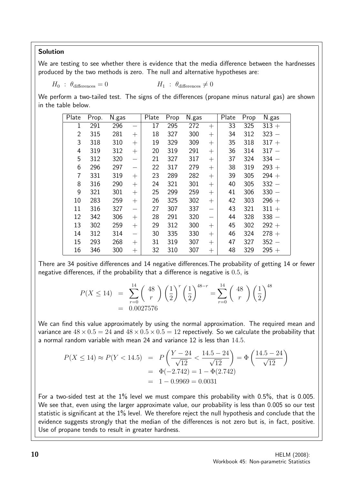#### Solution

We are testing to see whether there is evidence that the media difference between the hardnesses produced by the two methods is zero. The null and alternative hypotheses are:

$$
H_0 : \theta_{\text{differences}} = 0 \qquad H_1 : \theta_{\text{differences}} \neq 0
$$

We perform a two-tailed test. The signs of the differences (propane minus natural gas) are shown in the table below.

| Plate          | Prop. | N.gas |                          | Plate | Prop | N.gas |                          | Plate | Prop | N.gas   |
|----------------|-------|-------|--------------------------|-------|------|-------|--------------------------|-------|------|---------|
| 1              | 291   | 296   |                          | 17    | 295  | 272   | $+$                      | 33    | 325  | $313 +$ |
| $\overline{2}$ | 315   | 281   | $^{+}$                   | 18    | 327  | 300   | $^{+}$                   | 34    | 312  | $323 -$ |
| 3              | 318   | 310   | $^{+}$                   | 19    | 329  | 309   | $^{+}$                   | 35    | 318  | $317 +$ |
| 4              | 319   | 312   | $^{+}$                   | 20    | 319  | 291   | $^{+}$                   | 36    | 314  | $317 -$ |
| 5              | 312   | 320   | $\overline{\phantom{0}}$ | 21    | 327  | 317   | $^{+}$                   | 37    | 324  | $334 -$ |
| 6              | 296   | 297   |                          | 22    | 317  | 279   | $^{+}$                   | 38    | 319  | $293 +$ |
| 7              | 331   | 319   | $+$                      | 23    | 289  | 282   | $+$                      | 39    | 305  | $294 +$ |
| 8              | 316   | 290   | $^{+}$                   | 24    | 321  | 301   | $^{+}$                   | 40    | 305  | $332 -$ |
| 9              | 321   | 301   | $^{+}$                   | 25    | 299  | 259   | $^{+}$                   | 41    | 306  | $330 -$ |
| 10             | 283   | 259   | $^{+}$                   | 26    | 325  | 302   | $^{+}$                   | 42    | 303  | $296 +$ |
| 11             | 316   | 327   | $\overline{\phantom{0}}$ | 27    | 307  | 337   | $\overline{\phantom{0}}$ | 43    | 321  | $311 +$ |
| 12             | 342   | 306   | $+$                      | 28    | 291  | 320   |                          | 44    | 328  | $338 -$ |
| 13             | 302   | 259   | $^{+}$                   | 29    | 312  | 300   | $^{+}$                   | 45    | 302  | $292 +$ |
| 14             | 312   | 314   | $\overline{\phantom{0}}$ | 30    | 335  | 330   | $^{+}$                   | 46    | 324  | $278 +$ |
| 15             | 293   | 268   | $^{+}$                   | 31    | 319  | 307   | $^{+}$                   | 47    | 327  | $352 -$ |
| 16             | 346   | 300   | $^{+}$                   | 32    | 310  | 307   | $^{+}$                   | 48    | 329  | $295 +$ |

There are 34 positive differences and 14 negative differences.The probability of getting 14 or fewer negative differences, if the probability that a difference is negative is 0.5, is

$$
P(X \le 14) = \sum_{r=0}^{14} {48 \choose r} \left(\frac{1}{2}\right)^r \left(\frac{1}{2}\right)^{48-r} = \sum_{r=0}^{14} {48 \choose r} \left(\frac{1}{2}\right)^{48}
$$
  
= 0.0027576

We can find this value approximately by using the normal approximation. The required mean and variance are  $48 \times 0.5 = 24$  and  $48 \times 0.5 \times 0.5 = 12$  repectively. So we calculate the probability that a normal random variable with mean 24 and variance 12 is less than 14.5.

$$
P(X \le 14) \approx P(Y < 14.5) = P\left(\frac{Y - 24}{\sqrt{12}} < \frac{14.5 - 24}{\sqrt{12}}\right) = \Phi\left(\frac{14.5 - 24}{\sqrt{12}}\right) = \Phi(-2.742) = 1 - \Phi(2.742) = 1 - 0.9969 = 0.0031
$$

For a two-sided test at the  $1\%$  level we must compare this probability with  $0.5\%$ , that is 0.005. We see that, even using the larger approximate value, our probability is less than 0.005 so our test statistic is significant at the 1% level. We therefore reject the null hypothesis and conclude that the evidence suggests strongly that the median of the differences is not zero but is, in fact, positive. Use of propane tends to result in greater hardness.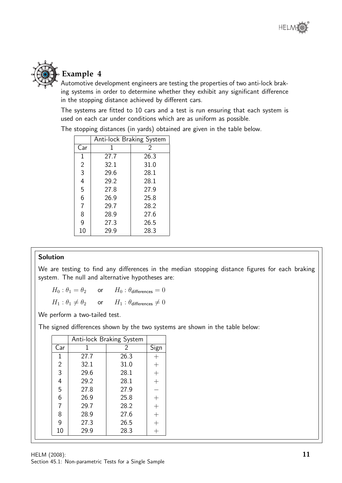

# **Example 4**

Automotive development engineers are testing the properties of two anti-lock braking systems in order to determine whether they exhibit any significant difference in the stopping distance achieved by different cars.

The systems are fitted to 10 cars and a test is run ensuring that each system is used on each car under conditions which are as uniform as possible.

|                | Anti-lock Braking System |      |  |  |  |  |  |  |
|----------------|--------------------------|------|--|--|--|--|--|--|
| Car            | 1                        | 2    |  |  |  |  |  |  |
| 1              | 27.7                     | 26.3 |  |  |  |  |  |  |
| $\overline{2}$ | 32.1                     | 31.0 |  |  |  |  |  |  |
| $\overline{3}$ | 29.6                     | 28.1 |  |  |  |  |  |  |
| $\overline{4}$ | 29.2                     | 28.1 |  |  |  |  |  |  |
| 5              | 27.8                     | 27.9 |  |  |  |  |  |  |
| 6              | 26.9                     | 25.8 |  |  |  |  |  |  |
| $\overline{7}$ | 29.7                     | 28.2 |  |  |  |  |  |  |
| 8              | 28.9                     | 27.6 |  |  |  |  |  |  |
| 9              | 27.3                     | 26.5 |  |  |  |  |  |  |
| 10             | 29.9                     | 28.3 |  |  |  |  |  |  |

The stopping distances (in yards) obtained are given in the table below.

#### Solution

We are testing to find any differences in the median stopping distance figures for each braking system. The null and alternative hypotheses are:

 $H_0$ :  $\theta_1 = \theta_2$  or  $H_0$ :  $\theta_{\text{differences}} = 0$  $H_1$  :  $\theta_1 \neq \theta_2$  or  $H_1$  :  $\theta_{\text{differences}} \neq 0$ 

We perform a two-tailed test.

The signed differences shown by the two systems are shown in the table below:

|                | Anti-lock Braking System |      |                     |
|----------------|--------------------------|------|---------------------|
| Car            |                          | 2    | Sign                |
| 1              | 27.7                     | 26.3 |                     |
| $\overline{2}$ | 32.1                     | 31.0 | $\! +$              |
| 3              | 29.6                     | 28.1 | $\hspace{.011cm} +$ |
| 4              | 29.2                     | 28.1 | $^{+}$              |
| 5              | 27.8                     | 27.9 |                     |
| 6              | 26.9                     | 25.8 |                     |
| 7              | 29.7                     | 28.2 |                     |
| 8              | 28.9                     | 27.6 |                     |
| 9              | 27.3                     | 26.5 |                     |
| 10             | 29.9                     | 28.3 |                     |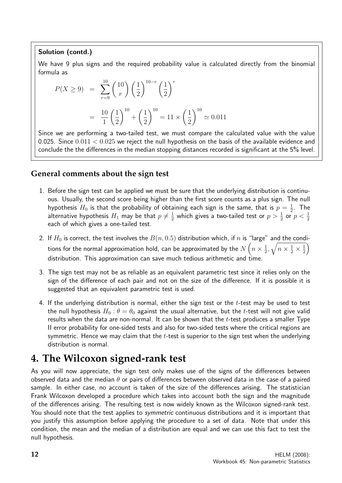#### Solution (contd.)

We have 9 plus signs and the required probability value is calculated directly from the binomial formula as

$$
P(X \ge 9) = \sum_{r=9}^{10} {10 \choose r} \left(\frac{1}{2}\right)^{10-r} \left(\frac{1}{2}\right)^r
$$
  
=  $\frac{10}{1} \left(\frac{1}{2}\right)^{10} + \left(\frac{1}{2}\right)^{10} = 11 \times \left(\frac{1}{2}\right)^{10} \approx 0.011$ 

Since we are performing a two-tailed test, we must compare the calculated value with the value 0.025. Since  $0.011 < 0.025$  we reject the null hypothesis on the basis of the available evidence and conclude the the differences in the median stopping distances recorded is significant at the 5% level.

#### **General comments about the sign test**

- 1. Before the sign test can be applied we must be sure that the underlying distribution is continuous. Usually, the second score being higher than the first score counts as a plus sign. The null hypothesis  $H_0$  is that the probability of obtaining each sign is the same, that is  $p=\frac{1}{2}$  $\frac{1}{2}$ . The alternative hypothesis  $H_1$  may be that  $p\neq \frac{1}{2}$  $\frac{1}{2}$  which gives a two-tailed test or  $p>\frac{1}{2}$  or  $p<\frac{1}{2}$ each of which gives a one-tailed test.
- 2. If  $H_0$  is correct, the test involves the  $B(n, 0.5)$  distribution which, if n is "large" and the conditions for the normal approximation hold, can be approximated by the  $N\left(n\times\frac{1}{2}\right)$  $\frac{1}{2}, \sqrt{n \times \frac{1}{2} \times \frac{1}{2}}$  $\left(\frac{1}{2}\right)$ distribution. This approximation can save much tedious arithmetic and time.
- 3. The sign test may not be as reliable as an equivalent parametric test since it relies only on the sign of the difference of each pair and not on the size of the difference. If it is possible it is suggested that an equivalent parametric test is used.
- 4. If the underlying distribution is normal, either the sign test or the  $t$ -test may be used to test the null hypothesis  $H_0$ :  $\theta = \theta_0$  against the usual alternative, but the t-test will not give valid results when the data are non-normal. It can be shown that the  $t$ -test produces a smaller Type II error probability for one-sided tests and also for two-sided tests where the critical regions are symmetric. Hence we may claim that the  $t$ -test is superior to the sign test when the underlying distribution is normal.

# **4. The Wilcoxon signed-rank test**

As you will now appreciate, the sign test only makes use of the signs of the differences between observed data and the median  $\theta$  or pairs of differences between observed data in the case of a paired sample. In either case, no account is taken of the size of the differences arising. The statistician Frank Wilcoxon developed a procedure which takes into account both the sign and the magnitude of the differences arising. The resulting test is now widely known as the Wilcoxon signed-rank test. You should note that the test applies to *symmetric* continuous distributions and it is important that you justify this assumption before applying the procedure to a set of data. Note that under this condition, the mean and the median of a distribution are equal and we can use this fact to test the null hypothesis.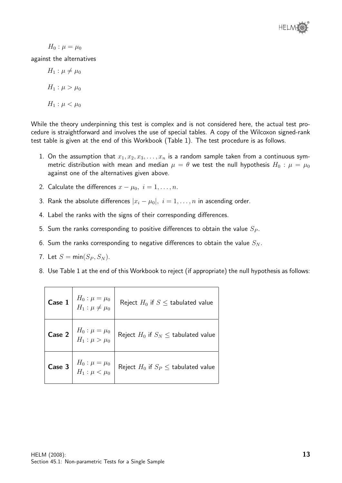

 $H_0: \mu = \mu_0$ 

against the alternatives

 $H_1$  :  $\mu \neq \mu_0$  $H_1 : \mu > \mu_0$  $H_1: \mu < \mu_0$ 

While the theory underpinning this test is complex and is not considered here, the actual test procedure is straightforward and involves the use of special tables. A copy of the Wilcoxon signed-rank test table is given at the end of this Workbook (Table 1). The test procedure is as follows.

- 1. On the assumption that  $x_1, x_2, x_3, \ldots, x_n$  is a random sample taken from a continuous symmetric distribution with mean and median  $\mu = \theta$  we test the null hypothesis  $H_0$ :  $\mu = \mu_0$ against one of the alternatives given above.
- 2. Calculate the differences  $x \mu_0$ ,  $i = 1, \ldots, n$ .
- 3. Rank the absolute differences  $|x_i \mu_0|, i = 1, ..., n$  in ascending order.
- 4. Label the ranks with the signs of their corresponding differences.
- 5. Sum the ranks corresponding to positive differences to obtain the value  $S_P$ .
- 6. Sum the ranks corresponding to negative differences to obtain the value  $S_N$ .
- 7. Let  $S = min(S_P, S_N)$ .
- 8. Use Table 1 at the end of this Workbook to reject (if appropriate) the null hypothesis as follows:

| <b>Case 1</b> $H_0: \mu = \mu_0$<br>$H_1: \mu \neq \mu_0$ | Reject $H_0$ if $S \leq$ tabulated value   |
|-----------------------------------------------------------|--------------------------------------------|
| <b>Case 2</b> $H_0: \mu = \mu_0$<br>$H_1: \mu > \mu_0$    | Reject $H_0$ if $S_N \leq$ tabulated value |
| <b>Case 3</b> $H_0: \mu = \mu_0$<br>$H_1: \mu < \mu_0$    | Reject $H_0$ if $S_P \leq$ tabulated value |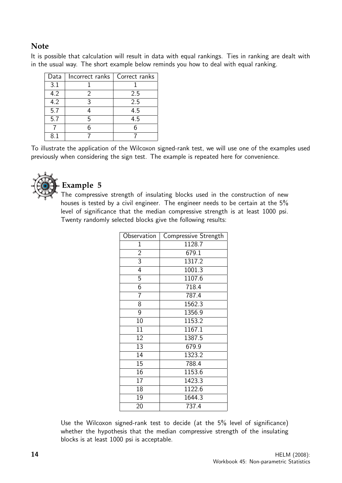#### **Note**

It is possible that calculation will result in data with equal rankings. Ties in ranking are dealt with in the usual way. The short example below reminds you how to deal with equal ranking.

| Data | Incorrect ranks   Correct ranks |     |
|------|---------------------------------|-----|
| 3.1  |                                 |     |
| 4.2  |                                 | 2.5 |
| 4.2  | 3                               | 2.5 |
| 5.7  |                                 | 4.5 |
| 5.7  | г,                              | 4.5 |
|      |                                 |     |
|      |                                 |     |

To illustrate the application of the Wilcoxon signed-rank test, we will use one of the examples used previously when considering the sign test. The example is repeated here for convenience.



# **Example 5**

The compressive strength of insulating blocks used in the construction of new houses is tested by a civil engineer. The engineer needs to be certain at the 5% level of significance that the median compressive strength is at least 1000 psi. Twenty randomly selected blocks give the following results:

| Observation     | Compressive Strength |
|-----------------|----------------------|
| $\mathbf 1$     | 1128.7               |
| $\overline{2}$  | 679.1                |
| 3               | 1317.2               |
| 4               | 1001.3               |
| $\overline{5}$  | 1107.6               |
| 6               | 718.4                |
| 7               | 787.4                |
| 8               | 1562.3               |
| 9               | 1356.9               |
| 10              | 1153.2               |
| 11              | 1167.1               |
| 12              | 1387.5               |
| 13              | 679.9                |
| 14              | 1323.2               |
| 15              | 788.4                |
| 16              | 1153.6               |
| $\overline{17}$ | 1423.3               |
| 18              | 1122.6               |
| 19              | 1644.3               |
| 20              | 737.4                |

Use the Wilcoxon signed-rank test to decide (at the 5% level of significance) whether the hypothesis that the median compressive strength of the insulating blocks is at least 1000 psi is acceptable.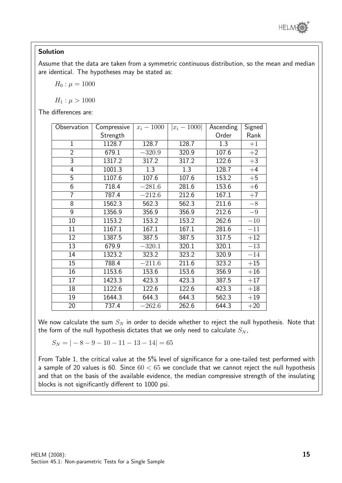

#### Solution

Assume that the data are taken from a symmetric continuous distribution, so the mean and median are identical. The hypotheses may be stated as:

 $H_0$ :  $\mu = 1000$ 

 $H_1$ :  $\mu > 1000$ 

The differences are:

| Observation     | Compressive | $x_i - 1000$ | $ x_i - 1000 $ | Ascending | <b>Signed</b> |
|-----------------|-------------|--------------|----------------|-----------|---------------|
|                 | Strength    |              |                | Order     | Rank          |
| $\mathbf{1}$    | 1128.7      | 128.7        | 128.7          | 1.3       | $+1$          |
| $\overline{2}$  | 679.1       | $-320.9$     | 320.9          | 107.6     | $+2$          |
| 3               | 1317.2      | 317.2        | 317.2          | 122.6     | $+3$          |
| 4               | 1001.3      | 1.3          | 1.3            | 128.7     | $+4$          |
| 5               | 1107.6      | 107.6        | 107.6          | 153.2     | $+5$          |
| 6               | 718.4       | $-281.6$     | 281.6          | 153.6     | $+6$          |
| 7               | 787.4       | $-212.6$     | 212.6          | 167.1     | $+7$          |
| 8               | 1562.3      | 562.3        | 562.3          | 211.6     | $-8$          |
| 9               | 1356.9      | 356.9        | 356.9          | 212.6     | $-9$          |
| 10              | 1153.2      | 153.2        | 153.2          | 262.6     | $-10$         |
| 11              | 1167.1      | 167.1        | 167.1          | 281.6     | $-11$         |
| $\overline{12}$ | 1387.5      | 387.5        | 387.5          | 317.5     | $+12$         |
| 13              | 679.9       | $-320.1$     | 320.1          | 320.1     | $-13$         |
| 14              | 1323.2      | 323.2        | 323.2          | 320.9     | $-14$         |
| 15              | 788.4       | $-211.6$     | 211.6          | 323.2     | $+15$         |
| 16              | 1153.6      | 153.6        | 153.6          | 356.9     | $+16$         |
| 17              | 1423.3      | 423.3        | 423.3          | 387.5     | $+17$         |
| 18              | 1122.6      | 122.6        | 122.6          | 423.3     | $+18$         |
| 19              | 1644.3      | 644.3        | 644.3          | 562.3     | $+19$         |
| 20              | 737.4       | $-262.6$     | 262.6          | 644.3     | $+20$         |

We now calculate the sum  $S_N$  in order to decide whether to reject the null hypothesis. Note that the form of the null hypothesis dictates that we only need to calculate  $S_N$ ,

 $S_N = |-8 - 9 - 10 - 11 - 13 - 14| = 65$ 

From Table 1, the critical value at the 5% level of significance for a one-tailed test performed with a sample of 20 values is 60. Since  $60 < 65$  we conclude that we cannot reject the null hypothesis and that on the basis of the available evidence, the median compressive strength of the insulating blocks is not significantly different to 1000 psi.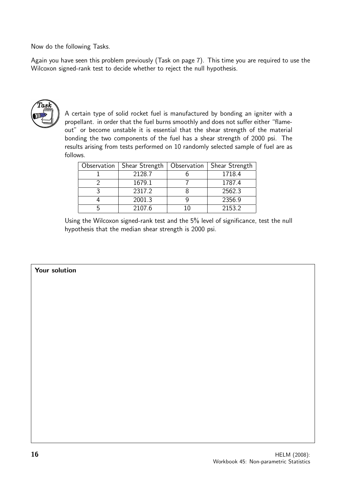Now do the following Tasks.

Again you have seen this problem previously (Task on page 7). This time you are required to use the Wilcoxon signed-rank test to decide whether to reject the null hypothesis.



A certain type of solid rocket fuel is manufactured by bonding an igniter with a propellant. in order that the fuel burns smoothly and does not suffer either "flameout" or become unstable it is essential that the shear strength of the material bonding the two components of the fuel has a shear strength of 2000 psi. The results arising from tests performed on 10 randomly selected sample of fuel are as follows.

| Observation | Shear Strength | Observation | Shear Strength |
|-------------|----------------|-------------|----------------|
|             | 2128.7         |             | 1718.4         |
|             | 1679.1         |             | 1787.4         |
|             | 2317.2         |             | 2562.3         |
|             | 2001.3         |             | 2356.9         |
|             | 2107.6         |             | 2153.2         |

Using the Wilcoxon signed-rank test and the 5% level of significance, test the null hypothesis that the median shear strength is 2000 psi.

#### Your solution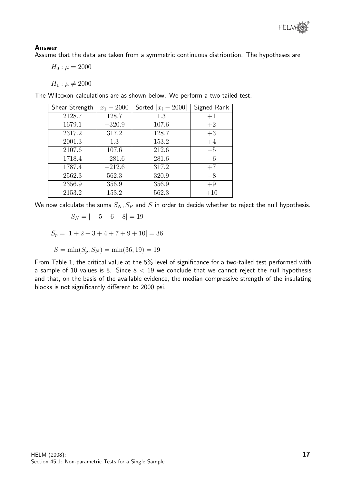

#### Answer

Assume that the data are taken from a symmetric continuous distribution. The hypotheses are

 $H_0$ :  $\mu = 2000$ 

 $H_1 : \mu \neq 2000$ 

The Wilcoxon calculations are as shown below. We perform a two-tailed test.

| Shear Strength | $x_1 - 2000$ | Sorted $ x_i - 2000 $ | Signed Rank |
|----------------|--------------|-----------------------|-------------|
| 2128.7         | 128.7        | 1.3                   | $+1$        |
| 1679.1         | $-320.9$     | 107.6                 | $+2$        |
| 2317.2         | 317.2        | 128.7                 | $+3$        |
| 2001.3         | 1.3          | 153.2                 | $+4$        |
| 2107.6         | 107.6        | 212.6                 | $-5$        |
| 1718.4         | $-281.6$     | 281.6                 | $-6$        |
| 1787.4         | $-212.6$     | 317.2                 | $+7$        |
| 2562.3         | 562.3        | 320.9                 | $-8$        |
| 2356.9         | 356.9        | 356.9                 | $+9$        |
| 2153.2         | 153.2        | 562.3                 | $+10$       |

We now calculate the sums  $S_N$ ,  $S_P$  and S in order to decide whether to reject the null hypothesis.

$$
S_N = |-5 - 6 - 8| = 19
$$

$$
S_p = |1 + 2 + 3 + 4 + 7 + 9 + 10| = 36
$$

$$
S = \min(S_p, S_N) = \min(36, 19) = 19
$$

From Table 1, the critical value at the 5% level of significance for a two-tailed test performed with a sample of 10 values is 8. Since  $8 < 19$  we conclude that we cannot reject the null hypothesis and that, on the basis of the available evidence, the median compressive strength of the insulating blocks is not significantly different to 2000 psi.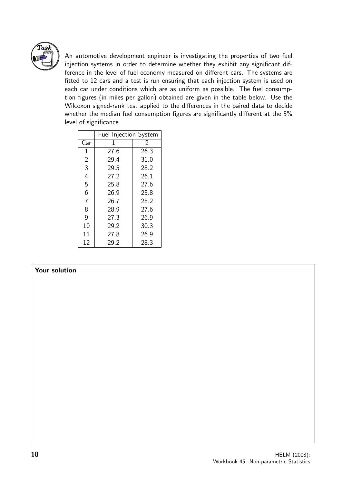

An automotive development engineer is investigating the properties of two fuel injection systems in order to determine whether they exhibit any significant difference in the level of fuel economy measured on different cars. The systems are fitted to 12 cars and a test is run ensuring that each injection system is used on each car under conditions which are as uniform as possible. The fuel consumption figures (in miles per gallon) obtained are given in the table below. Use the Wilcoxon signed-rank test applied to the differences in the paired data to decide whether the median fuel consumption figures are significantly different at the 5% level of significance.

|                | Fuel Injection System |      |  |  |
|----------------|-----------------------|------|--|--|
| Car            | 1                     | 2    |  |  |
| $\mathbf 1$    | 27.6                  | 26.3 |  |  |
| $\overline{2}$ | 29.4                  | 31.0 |  |  |
| 3              | 29.5                  | 28.2 |  |  |
| 4              | 27.2                  | 26.1 |  |  |
| 5              | 25.8                  | 27.6 |  |  |
| 6              | 26.9                  | 25.8 |  |  |
| $\overline{7}$ | 26.7                  | 28.2 |  |  |
| 8              | 28.9                  | 27.6 |  |  |
| 9              | 27.3                  | 26.9 |  |  |
| 10             | 29.2                  | 30.3 |  |  |
| 11             | 27.8                  | 26.9 |  |  |
| 12             | 29.2                  | 28.3 |  |  |

#### Your solution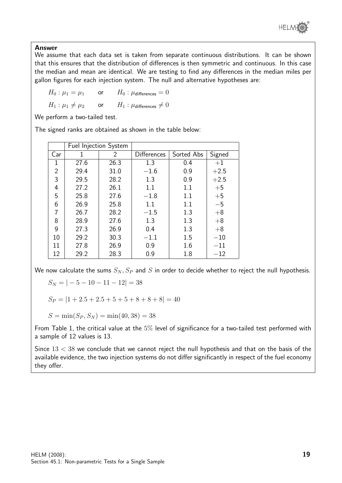

#### Answer

We assume that each data set is taken from separate continuous distributions. It can be shown that this ensures that the distribution of differences is then symmetric and continuous. In this case the median and mean are identical. We are testing to find any differences in the median miles per gallon figures for each injection system. The null and alternative hypotheses are:

 $H_0$ :  $\mu_1 = \mu_1$  or  $H_0$ :  $\mu$ differences = 0

 $H_1: \mu_1 \neq \mu_2$  or  $H_1: \mu$ differences  $\neq 0$ 

We perform a two-tailed test.

The signed ranks are obtained as shown in the table below:

|                | <b>Fuel Injection System</b> |      |                    |            |        |
|----------------|------------------------------|------|--------------------|------------|--------|
| Car            | 1                            | 2    | <b>Differences</b> | Sorted Abs | Signed |
| 1              | 27.6                         | 26.3 | 1.3                | 0.4        | $+1$   |
| $\overline{2}$ | 29.4                         | 31.0 | $-1.6$             | 0.9        | $+2.5$ |
| 3              | 29.5                         | 28.2 | 1.3                | 0.9        | $+2.5$ |
| 4              | 27.2                         | 26.1 | 1.1                | 1.1        | $+5$   |
| 5              | 25.8                         | 27.6 | $-1.8$             | 1.1        | $+5$   |
| 6              | 26.9                         | 25.8 | 1.1                | 1.1        | $-5$   |
| 7              | 26.7                         | 28.2 | $-1.5$             | 1.3        | $+8$   |
| 8              | 28.9                         | 27.6 | 1.3                | 1.3        | $+8$   |
| 9              | 27.3                         | 26.9 | 0.4                | 1.3        | $+8$   |
| 10             | 29.2                         | 30.3 | $-1.1$             | 1.5        | $-10$  |
| 11             | 27.8                         | 26.9 | 0.9                | 1.6        | $-11$  |
| 12             | 29.2                         | 28.3 | 0.9                | 1.8        | $-12$  |

We now calculate the sums  $S_N, S_P$  and S in order to decide whether to reject the null hypothesis.

$$
S_N = |-5 - 10 - 11 - 12| = 38
$$

 $S_P = 1 + 2.5 + 2.5 + 5 + 5 + 8 + 8 + 8 = 40$ 

 $S = min(S_P, S_N) = min(40, 38) = 38$ 

From Table 1, the critical value at the 5% level of significance for a two-tailed test performed with a sample of 12 values is 13.

Since  $13 < 38$  we conclude that we cannot reject the null hypothesis and that on the basis of the available evidence, the two injection systems do not differ significantly in respect of the fuel economy they offer.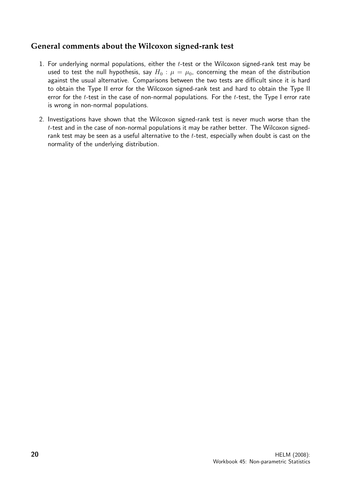#### **General comments about the Wilcoxon signed-rank test**

- 1. For underlying normal populations, either the  $t$ -test or the Wilcoxon signed-rank test may be used to test the null hypothesis, say  $H_0$ :  $\mu = \mu_0$ , concerning the mean of the distribution against the usual alternative. Comparisons between the two tests are difficult since it is hard to obtain the Type II error for the Wilcoxon signed-rank test and hard to obtain the Type II error for the  $t$ -test in the case of non-normal populations. For the  $t$ -test, the Type I error rate is wrong in non-normal populations.
- 2. Investigations have shown that the Wilcoxon signed-rank test is never much worse than the  $t$ -test and in the case of non-normal populations it may be rather better. The Wilcoxon signedrank test may be seen as a useful alternative to the  $t$ -test, especially when doubt is cast on the normality of the underlying distribution.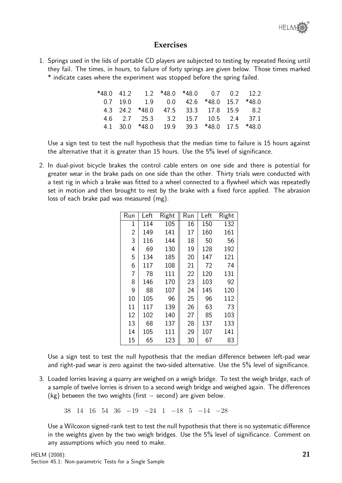

#### **Exercises**

1. Springs used in the lids of portable CD players are subjected to testing by repeated flexing until they fail. The times, in hours, to failure of forty springs are given below. Those times marked \* indicate cases where the experiment was stopped before the spring failed.

| *480412 |                                           | $1.2$ *48.0 *48.0 0.7 0.2 12.2 |  |  |
|---------|-------------------------------------------|--------------------------------|--|--|
|         | $0.7$ 19.0 1.9 0.0 42.6 *48.0 15.7 *48.0  |                                |  |  |
|         | 4.3 24.2 *48.0 47.5 33.3 17.8 15.9 8.2    |                                |  |  |
|         | 4.6 2.7 25.3 3.2 15.7 10.5 2.4 37.1       |                                |  |  |
|         | 4.1 30.0 *48.0 19.9 39.3 *48.0 17.5 *48.0 |                                |  |  |

Use a sign test to test the null hypothesis that the median time to failure is 15 hours against the alternative that it is greater than 15 hours. Use the 5% level of significance.

2. In dual-pivot bicycle brakes the control cable enters on one side and there is potential for greater wear in the brake pads on one side than the other. Thirty trials were conducted with a test rig in which a brake was fitted to a wheel connected to a flywheel which was repeatedly set in motion and then brought to rest by the brake with a fixed force applied. The abrasion loss of each brake pad was measured (mg).

| Run            | Left | Right | Run | Left | Right |
|----------------|------|-------|-----|------|-------|
| 1              | 114  | 105   | 16  | 150  | 132   |
| $\overline{2}$ | 149  | 141   | 17  | 160  | 161   |
| 3              | 116  | 144   | 18  | 50   | 56    |
| 4              | 69   | 130   | 19  | 128  | 192   |
| 5              | 134  | 185   | 20  | 147  | 121   |
| 6              | 117  | 108   | 21  | 72   | 74    |
| 7              | 78   | 111   | 22  | 120  | 131   |
| 8              | 146  | 170   | 23  | 103  | 92    |
| 9              | 88   | 107   | 24  | 145  | 120   |
| 10             | 105  | 96    | 25  | 96   | 112   |
| 11             | 117  | 139   | 26  | 63   | 73    |
| 12             | 102  | 140   | 27  | 85   | 103   |
| 13             | 68   | 137   | 28  | 137  | 133   |
| 14             | 105  | 111   | 29  | 107  | 141   |
| 15             | 65   | 123   | 30  | 67   | 83    |

Use a sign test to test the null hypothesis that the median difference between left-pad wear and right-pad wear is zero against the two-sided alternative. Use the 5% level of significance.

3. Loaded lorries leaving a quarry are weighed on a weigh bridge. To test the weigh bridge, each of a sample of twelve lorries is driven to a second weigh bridge and weighed again. The differences (kg) between the two weights (first  $-$  second) are given below.

38 14 16 54 36 −19 −24 1 −18 5 −14 −28

Use a Wilcoxon signed-rank test to test the null hypothesis that there is no systematic difference in the weights given by the two weigh bridges. Use the 5% level of significance. Comment on any assumptions which you need to make.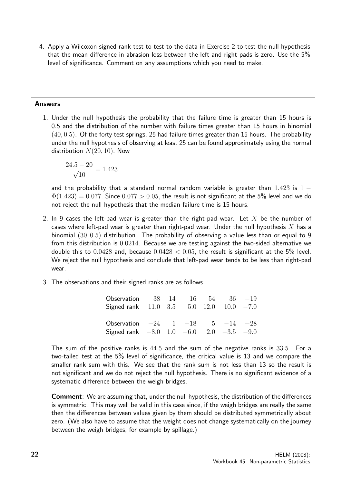4. Apply a Wilcoxon signed-rank test to test to the data in Exercise 2 to test the null hypothesis that the mean difference in abrasion loss between the left and right pads is zero. Use the 5% level of significance. Comment on any assumptions which you need to make.

#### Answers

1. Under the null hypothesis the probability that the failure time is greater than 15 hours is 0.5 and the distribution of the number with failure times greater than 15 hours in binomial  $(40, 0.5)$ . Of the forty test springs, 25 had failure times greater than 15 hours. The probability under the null hypothesis of observing at least 25 can be found approximately using the normal distribution  $N(20, 10)$ . Now

$$
\frac{24.5 - 20}{\sqrt{10}} = 1.423
$$

and the probability that a standard normal random variable is greater than  $1.423$  is  $1 \Phi(1.423) = 0.077$ . Since  $0.077 > 0.05$ , the result is not significant at the 5% level and we do not reject the null hypothesis that the median failure time is 15 hours.

- 2. In 9 cases the left-pad wear is greater than the right-pad wear. Let X be the number of cases where left-pad wear is greater than right-pad wear. Under the null hypothesis X has a binomial (30, 0.5) distribution. The probability of observing a value less than or equal to 9 from this distribution is 0.0214. Because we are testing against the two-sided alternative we double this to  $0.0428$  and, because  $0.0428 < 0.05$ , the result is significant at the 5% level. We reject the null hypothesis and conclude that left-pad wear tends to be less than right-pad wear.
- 3. The observations and their signed ranks are as follows.

| Observation $38 \t14 \t16 \t54 \t36 \t-19$<br>Signed rank $11.0$ $3.5$ $5.0$ $12.0$ $10.0$ $-7.0$ |  |  |  |
|---------------------------------------------------------------------------------------------------|--|--|--|
| Observation $-24$ 1 $-18$ 5 $-14$ $-28$<br>Signed rank $-8.0$ 1.0 $-6.0$ 2.0 $-3.5$ $-9.0$        |  |  |  |

The sum of the positive ranks is 44.5 and the sum of the negative ranks is 33.5. For a two-tailed test at the 5% level of significance, the critical value is 13 and we compare the smaller rank sum with this. We see that the rank sum is not less than 13 so the result is not significant and we do not reject the null hypothesis. There is no significant evidence of a systematic difference between the weigh bridges.

Comment: We are assuming that, under the null hypothesis, the distribution of the differences is symmetric. This may well be valid in this case since, if the weigh bridges are really the same then the differences between values given by them should be distributed symmetrically about zero. (We also have to assume that the weight does not change systematically on the journey between the weigh bridges, for example by spillage.)